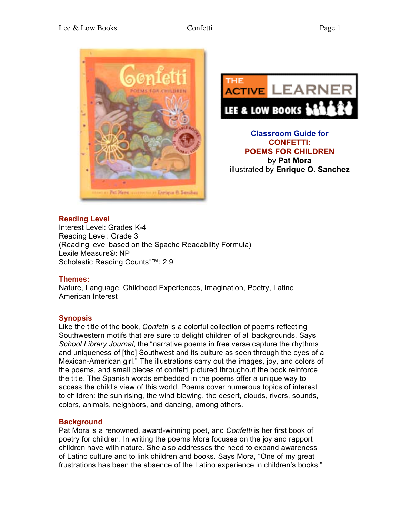



**Classroom Guide for CONFETTI: POEMS FOR CHILDREN** by **Pat Mora** illustrated by **Enrique O. Sanchez**

### **Reading Level**

Interest Level: Grades K-4 Reading Level: Grade 3 (Reading level based on the Spache Readability Formula) Lexile Measure®: NP Scholastic Reading Counts!™: 2.9

### **Themes:**

Nature, Language, Childhood Experiences, Imagination, Poetry, Latino American Interest

### **Synopsis**

Like the title of the book, *Confetti* is a colorful collection of poems reflecting Southwestern motifs that are sure to delight children of all backgrounds. Says *School Library Journal*, the "narrative poems in free verse capture the rhythms and uniqueness of [the] Southwest and its culture as seen through the eyes of a Mexican-American girl." The illustrations carry out the images, joy, and colors of the poems, and small pieces of confetti pictured throughout the book reinforce the title. The Spanish words embedded in the poems offer a unique way to access the child's view of this world. Poems cover numerous topics of interest to children: the sun rising, the wind blowing, the desert, clouds, rivers, sounds, colors, animals, neighbors, and dancing, among others.

### **Background**

Pat Mora is a renowned, award-winning poet, and *Confetti* is her first book of poetry for children. In writing the poems Mora focuses on the joy and rapport children have with nature. She also addresses the need to expand awareness of Latino culture and to link children and books. Says Mora, "One of my great frustrations has been the absence of the Latino experience in children's books,"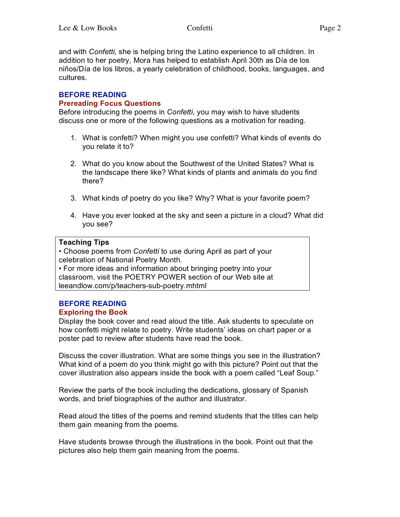and with *Confetti,* she is helping bring the Latino experience to all children. In addition to her poetry, Mora has helped to establish April 30th as Día de los niños/Día de los libros, a yearly celebration of childhood, books, languages, and cultures.

#### **BEFORE READING Prereading Focus Questions**

Before introducing the poems in *Confetti*, you may wish to have students discuss one or more of the following questions as a motivation for reading.

- 1. What is confetti? When might you use confetti? What kinds of events do you relate it to?
- 2. What do you know about the Southwest of the United States? What is the landscape there like? What kinds of plants and animals do you find there?
- 3. What kinds of poetry do you like? Why? What is your favorite poem?
- 4. Have you ever looked at the sky and seen a picture in a cloud? What did you see?

### **Teaching Tips**

• Choose poems from *Confetti* to use during April as part of your celebration of National Poetry Month.

• For more ideas and information about bringing poetry into your classroom, visit the POETRY POWER section of our Web site at leeandlow.com/p/teachers-sub-poetry.mhtml

#### **BEFORE READING Exploring the Book**

Display the book cover and read aloud the title. Ask students to speculate on how confetti might relate to poetry. Write students' ideas on chart paper or a poster pad to review after students have read the book.

Discuss the cover illustration. What are some things you see in the illustration? What kind of a poem do you think might go with this picture? Point out that the cover illustration also appears inside the book with a poem called "Leaf Soup."

Review the parts of the book including the dedications, glossary of Spanish words, and brief biographies of the author and illustrator.

Read aloud the titles of the poems and remind students that the titles can help them gain meaning from the poems.

Have students browse through the illustrations in the book. Point out that the pictures also help them gain meaning from the poems.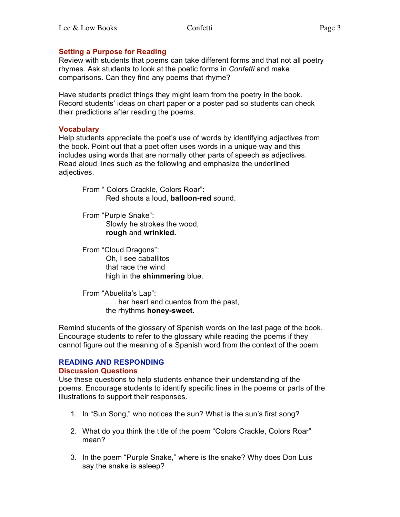## **Setting a Purpose for Reading**

Review with students that poems can take different forms and that not all poetry rhymes. Ask students to look at the poetic forms in *Confetti* and make comparisons. Can they find any poems that rhyme?

Have students predict things they might learn from the poetry in the book. Record students' ideas on chart paper or a poster pad so students can check their predictions after reading the poems.

### **Vocabulary**

Help students appreciate the poet's use of words by identifying adjectives from the book. Point out that a poet often uses words in a unique way and this includes using words that are normally other parts of speech as adjectives. Read aloud lines such as the following and emphasize the underlined adjectives.

From " Colors Crackle, Colors Roar": Red shouts a loud, **balloon-red** sound.

From "Purple Snake": Slowly he strokes the wood, **rough** and **wrinkled.**

From "Cloud Dragons": Oh, I see caballitos that race the wind high in the **shimmering** blue.

From "Abuelita's Lap": . . . her heart and cuentos from the past, the rhythms **honey-sweet.**

Remind students of the glossary of Spanish words on the last page of the book. Encourage students to refer to the glossary while reading the poems if they cannot figure out the meaning of a Spanish word from the context of the poem.

#### **READING AND RESPONDING Discussion Questions**

Use these questions to help students enhance their understanding of the poems. Encourage students to identify specific lines in the poems or parts of the illustrations to support their responses.

- 1. In "Sun Song," who notices the sun? What is the sun's first song?
- 2. What do you think the title of the poem "Colors Crackle, Colors Roar" mean?
- 3. In the poem "Purple Snake," where is the snake? Why does Don Luis say the snake is asleep?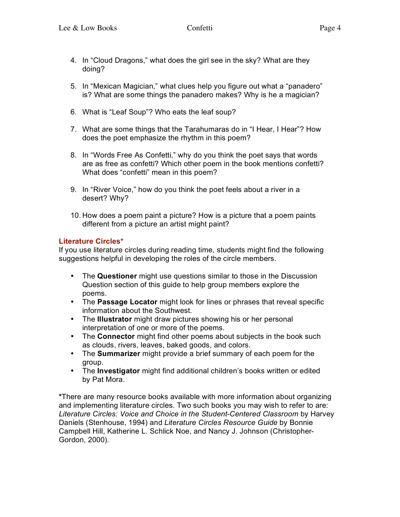- 4. In "Cloud Dragons," what does the girl see in the sky? What are they doing?
- 5. In "Mexican Magician," what clues help you figure out what a "panadero" is? What are some things the panadero makes? Why is he a magician?
- 6. What is "Leaf Soup"? Who eats the leaf soup?
- 7. What are some things that the Tarahumaras do in "I Hear, I Hear"? How does the poet emphasize the rhythm in this poem?
- 8. In "Words Free As Confetti," why do you think the poet says that words are as free as confetti? Which other poem in the book mentions confetti? What does "confetti" mean in this poem?
- 9. In "River Voice," how do you think the poet feels about a river in a desert? Why?
- 10. How does a poem paint a picture? How is a picture that a poem paints different from a picture an artist might paint?

### **Literature Circles\***

If you use literature circles during reading time, students might find the following suggestions helpful in developing the roles of the circle members.

- The **Questioner** might use questions similar to those in the Discussion Question section of this guide to help group members explore the poems.
- The **Passage Locator** might look for lines or phrases that reveal specific information about the Southwest.
- The **Illustrator** might draw pictures showing his or her personal interpretation of one or more of the poems.
- The **Connector** might find other poems about subjects in the book such as clouds, rivers, leaves, baked goods, and colors.
- The **Summarizer** might provide a brief summary of each poem for the group.
- The **Investigator** might find additional children's books written or edited by Pat Mora.

**\***There are many resource books available with more information about organizing and implementing literature circles. Two such books you may wish to refer to are: *Literature Circles: Voice and Choice in the Student-Centered Classroom* by Harvey Daniels (Stenhouse, 1994) and *Literature Circles Resource Guide* by Bonnie Campbell Hill, Katherine L. Schlick Noe, and Nancy J. Johnson (Christopher-Gordon, 2000).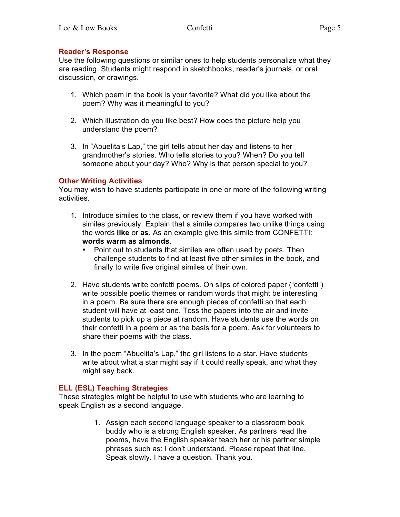## **Reader's Response**

Use the following questions or similar ones to help students personalize what they are reading. Students might respond in sketchbooks, reader's journals, or oral discussion, or drawings.

- 1. Which poem in the book is your favorite? What did you like about the poem? Why was it meaningful to you?
- 2. Which illustration do you like best? How does the picture help you understand the poem?
- 3. In "Abuelita's Lap," the girl tells about her day and listens to her grandmother's stories. Who tells stories to you? When? Do you tell someone about your day? Who? Why is that person special to you?

## **Other Writing Activities**

You may wish to have students participate in one or more of the following writing activities.

- 1. Introduce similes to the class, or review them if you have worked with similes previously. Explain that a simile compares two unlike things using the words **like** or **as**. As an example give this simile from CONFETTI: **words warm as almonds.**
	- Point out to students that similes are often used by poets. Then challenge students to find at least five other similes in the book, and finally to write five original similes of their own.
- 2. Have students write confetti poems. On slips of colored paper ("confetti") write possible poetic themes or random words that might be interesting in a poem. Be sure there are enough pieces of confetti so that each student will have at least one. Toss the papers into the air and invite students to pick up a piece at random. Have students use the words on their confetti in a poem or as the basis for a poem. Ask for volunteers to share their poems with the class.
- 3. In the poem "Abuelita's Lap," the girl listens to a star. Have students write about what a star might say if it could really speak, and what they might say back.

# **ELL (ESL) Teaching Strategies**

These strategies might be helpful to use with students who are learning to speak English as a second language.

> 1. Assign each second language speaker to a classroom book buddy who is a strong English speaker. As partners read the poems, have the English speaker teach her or his partner simple phrases such as: I don't understand. Please repeat that line. Speak slowly. I have a question. Thank you.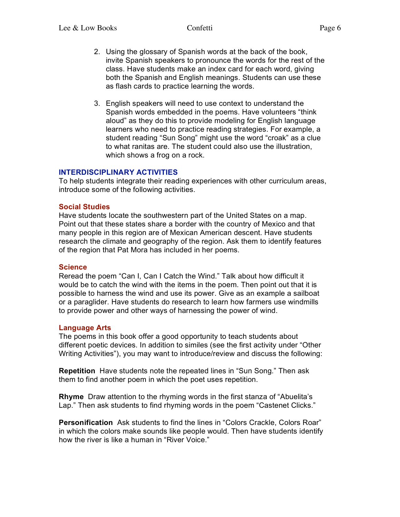- 2. Using the glossary of Spanish words at the back of the book, invite Spanish speakers to pronounce the words for the rest of the class. Have students make an index card for each word, giving both the Spanish and English meanings. Students can use these as flash cards to practice learning the words.
- 3. English speakers will need to use context to understand the Spanish words embedded in the poems. Have volunteers "think aloud" as they do this to provide modeling for English language learners who need to practice reading strategies. For example, a student reading "Sun Song" might use the word "croak" as a clue to what ranitas are. The student could also use the illustration, which shows a frog on a rock.

### **INTERDISCIPLINARY ACTIVITIES**

To help students integrate their reading experiences with other curriculum areas, introduce some of the following activities.

#### **Social Studies**

Have students locate the southwestern part of the United States on a map. Point out that these states share a border with the country of Mexico and that many people in this region are of Mexican American descent. Have students research the climate and geography of the region. Ask them to identify features of the region that Pat Mora has included in her poems.

#### **Science**

Reread the poem "Can I, Can I Catch the Wind." Talk about how difficult it would be to catch the wind with the items in the poem. Then point out that it is possible to harness the wind and use its power. Give as an example a sailboat or a paraglider. Have students do research to learn how farmers use windmills to provide power and other ways of harnessing the power of wind.

#### **Language Arts**

The poems in this book offer a good opportunity to teach students about different poetic devices. In addition to similes (see the first activity under "Other Writing Activities"), you may want to introduce/review and discuss the following:

**Repetition** Have students note the repeated lines in "Sun Song." Then ask them to find another poem in which the poet uses repetition.

**Rhyme** Draw attention to the rhyming words in the first stanza of "Abuelita's Lap." Then ask students to find rhyming words in the poem "Castenet Clicks."

**Personification** Ask students to find the lines in "Colors Crackle, Colors Roar" in which the colors make sounds like people would. Then have students identify how the river is like a human in "River Voice."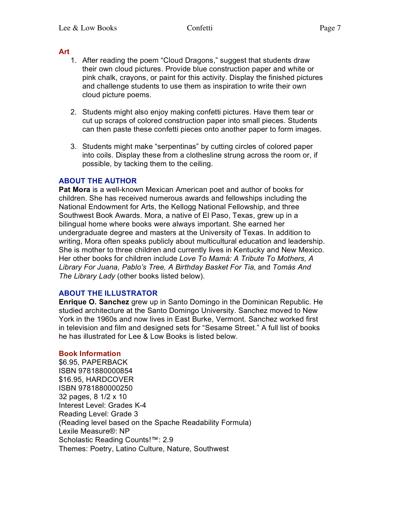#### **Art**

- 1. After reading the poem "Cloud Dragons," suggest that students draw their own cloud pictures. Provide blue construction paper and white or pink chalk, crayons, or paint for this activity. Display the finished pictures and challenge students to use them as inspiration to write their own cloud picture poems.
- 2. Students might also enjoy making confetti pictures. Have them tear or cut up scraps of colored construction paper into small pieces. Students can then paste these confetti pieces onto another paper to form images.
- 3. Students might make "serpentinas" by cutting circles of colored paper into coils. Display these from a clothesline strung across the room or, if possible, by tacking them to the ceiling.

### **ABOUT THE AUTHOR**

**Pat Mora** is a well-known Mexican American poet and author of books for children. She has received numerous awards and fellowships including the National Endowment for Arts, the Kellogg National Fellowship, and three Southwest Book Awards. Mora, a native of El Paso, Texas, grew up in a bilingual home where books were always important. She earned her undergraduate degree and masters at the University of Texas. In addition to writing, Mora often speaks publicly about multicultural education and leadership. She is mother to three children and currently lives in Kentucky and New Mexico. Her other books for children include *Love To Mamá: A Tribute To Mothers, A Library For Juana, Pablo's Tree, A Birthday Basket For Tia*, and *Tomás And The Library Lady* (other books listed below).

#### **ABOUT THE ILLUSTRATOR**

**Enrique O. Sanchez** grew up in Santo Domingo in the Dominican Republic. He studied architecture at the Santo Domingo University. Sanchez moved to New York in the 1960s and now lives in East Burke, Vermont. Sanchez worked first in television and film and designed sets for "Sesame Street." A full list of books he has illustrated for Lee & Low Books is listed below.

#### **Book Information**

\$6.95, PAPERBACK ISBN 9781880000854 \$16.95, HARDCOVER ISBN 9781880000250 32 pages, 8 1/2 x 10 Interest Level: Grades K-4 Reading Level: Grade 3 (Reading level based on the Spache Readability Formula) Lexile Measure®: NP Scholastic Reading Counts!™: 2.9 Themes: Poetry, Latino Culture, Nature, Southwest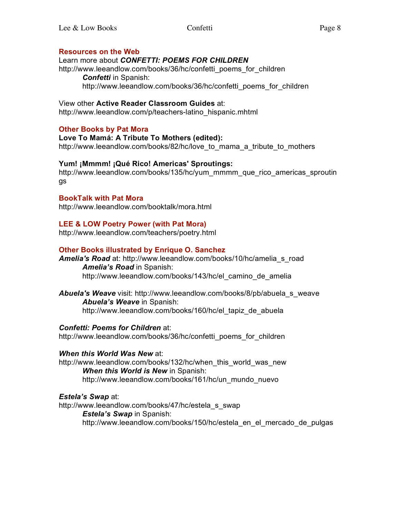### **Resources on the Web**

### Learn more about *CONFETTI: POEMS FOR CHILDREN*

http://www.leeandlow.com/books/36/hc/confetti\_poems\_for\_children *Confetti* in Spanish: http://www.leeandlow.com/books/36/hc/confetti\_poems\_for\_children

### View other **Active Reader Classroom Guides** at:

http://www.leeandlow.com/p/teachers-latino\_hispanic.mhtml

## **Other Books by Pat Mora**

**Love To Mamá: A Tribute To Mothers (edited):** http://www.leeandlow.com/books/82/hc/love\_to\_mama\_a\_tribute\_to\_mothers

### **Yum! ¡Mmmm! ¡Qué Rico! Americas' Sproutings:**

http://www.leeandlow.com/books/135/hc/yum\_mmmm\_que\_rico\_americas\_sproutin gs

### **BookTalk with Pat Mora**

http://www.leeandlow.com/booktalk/mora.html

### **LEE & LOW Poetry Power (with Pat Mora)**

http://www.leeandlow.com/teachers/poetry.html

### **Other Books illustrated by Enrique O. Sanchez**

*Amelia's Road* at: http://www.leeandlow.com/books/10/hc/amelia\_s\_road *Amelia's Road* in Spanish: http://www.leeandlow.com/books/143/hc/el\_camino\_de\_amelia

*Abuela's Weave* visit: http://www.leeandlow.com/books/8/pb/abuela\_s\_weave *Abuela's Weave* in Spanish: http://www.leeandlow.com/books/160/hc/el\_tapiz\_de\_abuela

*Confetti: Poems for Children* at:

http://www.leeandlow.com/books/36/hc/confetti\_poems\_for\_children

### *When this World Was New* at:

http://www.leeandlow.com/books/132/hc/when\_this\_world\_was\_new *When this World is New* in Spanish: http://www.leeandlow.com/books/161/hc/un\_mundo\_nuevo

*Estela's Swap at:* 

http://www.leeandlow.com/books/47/hc/estela\_s\_swap *Estela's Swap* in Spanish: http://www.leeandlow.com/books/150/hc/estela\_en\_el\_mercado\_de\_pulgas